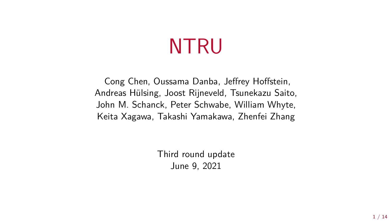# NTRU

Cong Chen, Oussama Danba, Jeffrey Hoffstein, Andreas Hülsing, Joost Rijneveld, Tsunekazu Saito, John M. Schanck, Peter Schwabe, William Whyte, Keita Xagawa, Takashi Yamakawa, Zhenfei Zhang

> Third round update June 9, 2021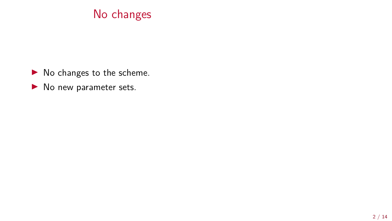#### No changes

- $\blacktriangleright$  No changes to the scheme.
- $\blacktriangleright$  No new parameter sets.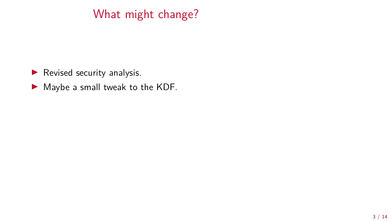# What might change?

 $\blacktriangleright$  Revised security analysis.

 $\blacktriangleright$  Maybe a small tweak to the KDF.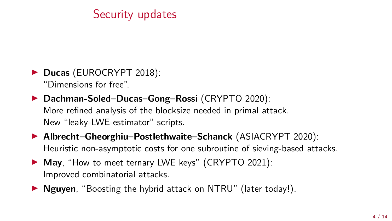## Security updates

**Ducas** (EUROCRYPT 2018): "Dimensions for free".

▶ Dachman-Soled–Ducas–Gong–Rossi (CRYPTO 2020): More refined analysis of the blocksize needed in primal attack. New "leaky-LWE-estimator" scripts.

▶ Albrecht–Gheorghiu–Postlethwaite–Schanck (ASIACRYPT 2020): Heuristic non-asymptotic costs for one subroutine of sieving-based attacks.

- ▶ **May**, "How to meet ternary LWE keys" (CRYPTO 2021): Improved combinatorial attacks.
- **I Nguyen**, "Boosting the hybrid attack on NTRU" (later today!).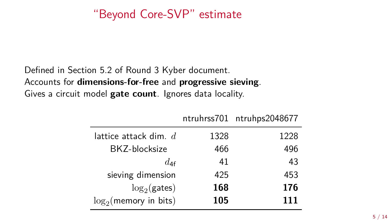#### "Beyond Core-SVP" estimate

Defined in Section 5.2 of Round 3 Kyber document. Accounts for **dimensions-for-free** and **progressive sieving**. Gives a circuit model **gate count**. Ignores data locality.

|                           |      | ntruhrss701 ntruhps2048677 |
|---------------------------|------|----------------------------|
| lattice attack dim. $d$   | 1328 | 1228                       |
| BKZ-blocksize             | 466  | 496                        |
| $d_{\mathcal{A}}$ f       | 41   | 43                         |
| sieving dimension         | 425  | 453                        |
| $\log_2$ (gates)          | 168  | 176                        |
| $\log_2$ (memory in bits) | 105  | 111                        |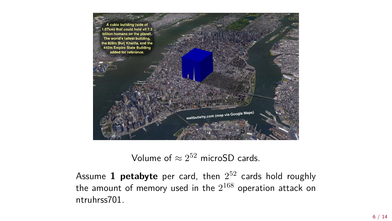

#### Volume of  $\approx 2^{52}$  microSD cards.

Assume 1 petabyte per card, then  $2^{52}$  cards hold roughly the amount of memory used in the  $2^{168}$  operation attack on ntruhrss701.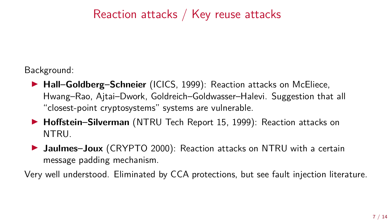## Reaction attacks / Key reuse attacks

Background:

- ▶ Hall–Goldberg–Schneier (ICICS, 1999): Reaction attacks on McEliece, Hwang–Rao, Ajtai–Dwork, Goldreich–Goldwasser–Halevi. Suggestion that all "closest-point cryptosystems" systems are vulnerable.
- ▶ **Hoffstein–Silverman** (NTRU Tech Report 15, 1999): Reaction attacks on NTRU.
- **In Jaulmes–Joux** (CRYPTO 2000): Reaction attacks on NTRU with a certain message padding mechanism.

Very well understood. Eliminated by CCA protections, but see fault injection literature.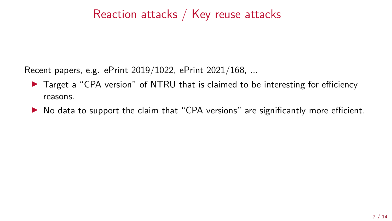#### Reaction attacks / Key reuse attacks

Recent papers, e.g. ePrint 2019/1022, ePrint 2021/168, ...

- ► Target a "CPA version" of NTRU that is claimed to be interesting for efficiency reasons.
- $\triangleright$  No data to support the claim that "CPA versions" are significantly more efficient.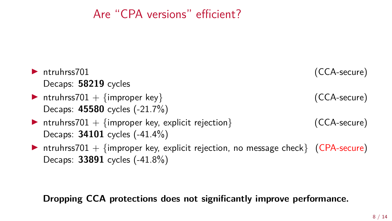#### Are "CPA versions" efficient?

| $\blacktriangleright$ ntruhrss701                                                | (CCA-secure) |
|----------------------------------------------------------------------------------|--------------|
| Decaps: 58219 cycles                                                             |              |
| Intruhrss701 + {improper key}                                                    | (CCA-secure) |
| Decaps: 45580 cycles (-21.7%)                                                    |              |
| Intruhrss701 + {improper key, explicit rejection}                                | (CCA-secure) |
| Decaps: 34101 cycles (-41.4%)                                                    |              |
| Intruhrss701 + {improper key, explicit rejection, no message check} (CPA-secure) |              |
| Decaps: 33891 cycles (-41.8%)                                                    |              |
|                                                                                  |              |

#### Dropping CCA protections does not significantly improve performance.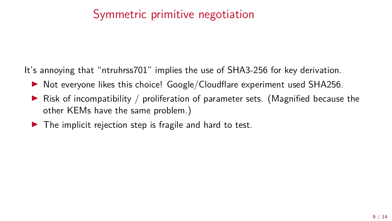#### Symmetric primitive negotiation

It's annoying that "ntruhrss701" implies the use of SHA3-256 for key derivation.

- $\triangleright$  Not everyone likes this choice! Google/Cloudflare experiment used SHA256.
- $\triangleright$  Risk of incompatibility / proliferation of parameter sets. (Magnified because the other KEMs have the same problem.)
- $\blacktriangleright$  The implicit rejection step is fragile and hard to test.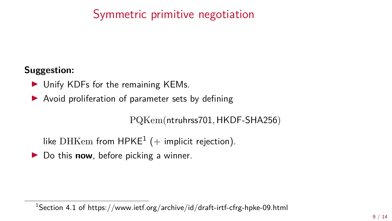## Symmetric primitive negotiation

#### **Suggestion:**

- $\blacktriangleright$  Unify KDFs for the remaining KEMs.
- $\triangleright$  Avoid proliferation of parameter sets by defining

PQKem(ntruhrss701*,* HKDF-SHA256)

like DHKem from HPKE<sup>1</sup> (+ implicit rejection).

▶ Do this **now**, before picking a winner.

<sup>&</sup>lt;sup>1</sup>Section 4.1 of <https://www.ietf.org/archive/id/draft-irtf-cfrg-hpke-09.html>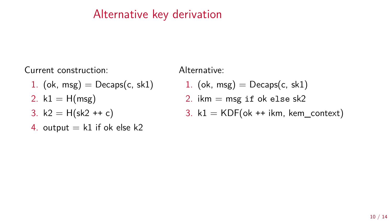#### Alternative key derivation

Current construction: Alternative:

- 1. (ok, msg) =  $Decaps(c, sk1)$  1. (ok, msg) =  $Decaps(c, sk1)$
- 
- 
- 4. output  $= k1$  if ok else k2

- 
- 2.  $k1 = H(msg)$  2. ikm = msg if ok else sk2
- 3.  $k2 = H(sk2 + c)$  3.  $k1 = KDF(ok + ikm, kem\_context)$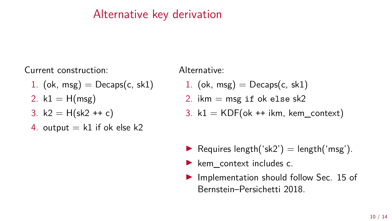#### Alternative key derivation

Current construction:

- 1. (ok, msg)  $=$  Decaps(c, sk1)
- 2.  $k1 = H(msg)$
- 3.  $k2 = H(sk2 + c)$
- 4. output  $= k1$  if ok else k2

Alternative:

- 1. (ok, msg)  $=$  Decaps(c, sk1)
- 2. ikm  $=$  msg if ok else sk2
- 3. k1 =  $KDF(ok ++ikm, kem \text{ context})$

- Requires length('sk2')  $=$  length('msg').
- $\blacktriangleright$  kem context includes c.
- $\blacktriangleright$  Implementation should follow Sec. 15 of Bernstein–Persichetti 2018.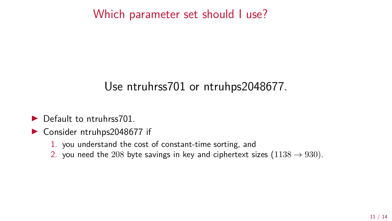#### Which parameter set should I use?

#### Use ntruhrss701 or ntruhps2048677.

- $\blacktriangleright$  Default to ntruhrss701
- $\triangleright$  Consider ntruhps2048677 if
	- 1. you understand the cost of constant-time sorting, and
	- 2. you need the 208 byte savings in key and ciphertext sizes  $(1138 \rightarrow 930)$ .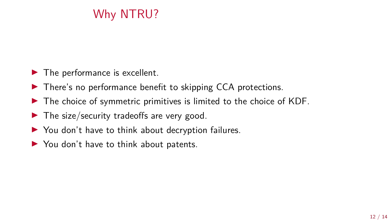# Why NTRU?

- $\blacktriangleright$  The performance is excellent.
- $\blacktriangleright$  There's no performance benefit to skipping CCA protections.
- $\blacktriangleright$  The choice of symmetric primitives is limited to the choice of KDF.
- $\blacktriangleright$  The size/security tradeoffs are very good.
- $\triangleright$  You don't have to think about decryption failures.
- $\triangleright$  You don't have to think about patents.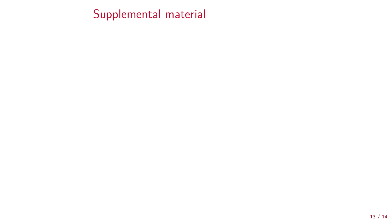Supplemental material